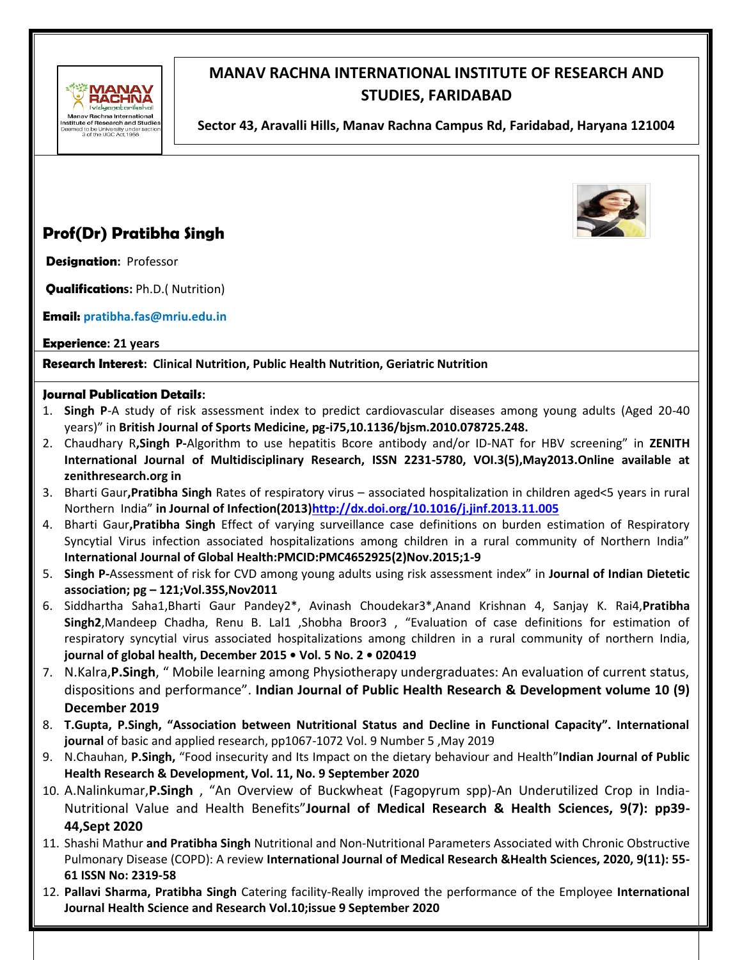

# **MANAV RACHNA INTERNATIONAL INSTITUTE OF RESEARCH AND STUDIES, FARIDABAD**

**Sector 43, Aravalli Hills, Manav Rachna Campus Rd, Faridabad, Haryana 121004** 

# **Prof(Dr) Pratibha Singh**

**Designation:** Professor

**Qualifications:** Ph.D.( Nutrition)

**Email: pratibha.fas@mriu.edu.in**

**Experience: 21 years** 

**Research Interest: Clinical Nutrition, Public Health Nutrition, Geriatric Nutrition**

#### **Journal Publication Details:**

- 1. **Singh P**-A study of risk assessment index to predict cardiovascular diseases among young adults (Aged 20-40 years)" in **British Journal of Sports Medicine, pg-i75,10.1136/bjsm.2010.078725.248.**
- 2. Chaudhary R**,Singh P-**Algorithm to use hepatitis Bcore antibody and/or ID-NAT for HBV screening" in **ZENITH International Journal of Multidisciplinary Research, ISSN 2231-5780, VOI.3(5),May2013.Online available at zenithresearch.org in**
- 3. Bharti Gaur**,Pratibha Singh** Rates of respiratory virus associated hospitalization in children aged<5 years in rural Northern India" **in Journal of Infection(2013[\)http://dx.doi.org/10.1016/j.jinf.2013.11.005](http://dx.doi.org/10.1016/j.jinf.2013.11.005)**
- 4. Bharti Gaur**,Pratibha Singh** Effect of varying surveillance case definitions on burden estimation of Respiratory Syncytial Virus infection associated hospitalizations among children in a rural community of Northern India" **International Journal of Global Health:PMCID:PMC4652925(2)Nov.2015;1-9**
- 5. **Singh P-**Assessment of risk for CVD among young adults using risk assessment index" in **Journal of Indian Dietetic association; pg – 121;Vol.35S,Nov2011**
- 6. Siddhartha Saha1,Bharti Gaur Pandey2\*, Avinash Choudekar3\*,Anand Krishnan 4, Sanjay K. Rai4,**Pratibha Singh2**,Mandeep Chadha, Renu B. Lal1 ,Shobha Broor3 , "Evaluation of case definitions for estimation of respiratory syncytial virus associated hospitalizations among children in a rural community of northern India, **journal of global health, December 2015 • Vol. 5 No. 2 • 020419**
- 7. N.Kalra,**P.Singh**, " Mobile learning among Physiotherapy undergraduates: An evaluation of current status, dispositions and performance". **Indian Journal of Public Health Research & Development volume 10 (9) December 2019**
- 8. **T.Gupta, P.Singh, "Association between Nutritional Status and Decline in Functional Capacity". International journal** of basic and applied research, pp1067-1072 Vol. 9 Number 5 ,May 2019
- 9. N.Chauhan, **P.Singh,** "Food insecurity and Its Impact on the dietary behaviour and Health"**Indian Journal of Public Health Research & Development, Vol. 11, No. 9 September 2020**
- 10. A.Nalinkumar,**P.Singh** , "An Overview of Buckwheat (Fagopyrum spp)-An Underutilized Crop in India-Nutritional Value and Health Benefits"**Journal of Medical Research & Health Sciences, 9(7): pp39- 44,Sept 2020**
- 11. Shashi Mathur **and Pratibha Singh** Nutritional and Non-Nutritional Parameters Associated with Chronic Obstructive Pulmonary Disease (COPD): A review **International Journal of Medical Research &Health Sciences, 2020, 9(11): 55- 61 ISSN No: 2319-58**
- 12. **Pallavi Sharma, Pratibha Singh** Catering facility-Really improved the performance of the Employee **International Journal Health Science and Research Vol.10;issue 9 September 2020**

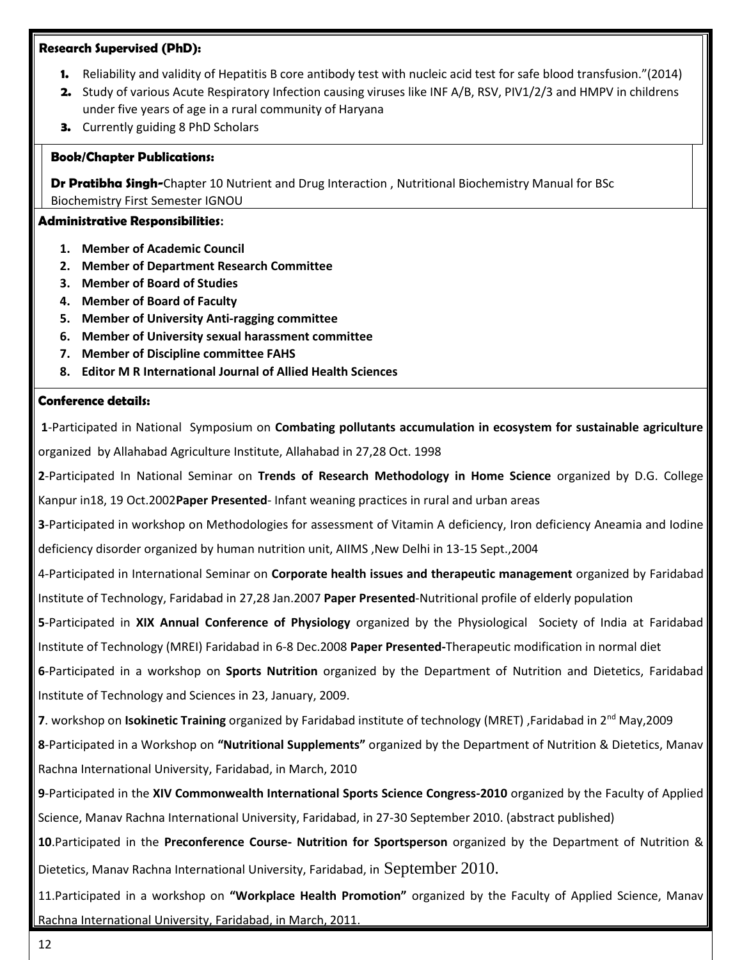#### **Research Supervised (PhD):**

- **1.** Reliability and validity of Hepatitis B core antibody test with nucleic acid test for safe blood transfusion."(2014)
- **2.** Study of various Acute Respiratory Infection causing viruses like INF A/B, RSV, PIV1/2/3 and HMPV in childrens under five years of age in a rural community of Haryana
- **3.** Currently guiding 8 PhD Scholars

#### **Book/Chapter Publications:**

**Dr Pratibha Singh-**Chapter 10 Nutrient and Drug Interaction , Nutritional Biochemistry Manual for BSc Biochemistry First Semester IGNOU

#### **Administrative Responsibilities:**

- **1. Member of Academic Council**
- **2. Member of Department Research Committee**
- **3. Member of Board of Studies**
- **4. Member of Board of Faculty**
- **5. Member of University Anti-ragging committee**
- **6. Member of University sexual harassment committee**
- **7. Member of Discipline committee FAHS**
- **8. Editor M R International Journal of Allied Health Sciences**

## **Conference details:**

**1**-Participated in National Symposium on **Combating pollutants accumulation in ecosystem for sustainable agriculture**  organized by Allahabad Agriculture Institute, Allahabad in 27,28 Oct. 1998

**2**-Participated In National Seminar on **Trends of Research Methodology in Home Science** organized by D.G. College Kanpur in18, 19 Oct.2002**Paper Presented**- Infant weaning practices in rural and urban areas

**3**-Participated in workshop on Methodologies for assessment of Vitamin A deficiency, Iron deficiency Aneamia and Iodine

deficiency disorder organized by human nutrition unit, AIIMS, New Delhi in 13-15 Sept., 2004

**Professional Affiliation-**Institute of Technology, Faridabad in 27,28 Jan.2007 **Paper Presented**-Nutritional profile of elderly population 4-Participated in International Seminar on **Corporate health issues and therapeutic management** organized by Faridabad

5-Participated in XIX Annual Conference of Physiology organized by the Physiological Society of India at Faridabad Institute of Technology (MREI) Faridabad in 6-8 Dec.2008 Paper Presented-Therapeutic modification in normal diet

6-Participated in a workshop on Sports Nutrition organized by the Department of Nutrition and Dietetics, Faridabad **Expert Talk Delivered** Institute of Technology and Sciences in 23, January, 2009.

**7**. workshop on **Isokinetic Training** organized by Faridabad institute of technology (MRET) ,Faridabad in 2nd May,2009 **8**-Participated in a Workshop on **"Nutritional Supplements"** organized by the Department of Nutrition & Dietetics, Manav Rachna International University, Faridabad, in March, 2010

**9**-Participated in the **XIV Commonwealth International Sports Science Congress-2010** organized by the Faculty of Applied Science, Manav Rachna International University, Faridabad, in 27-30 September 2010. (abstract published)

**10**.Participated in the **Preconference Course- Nutrition for Sportsperson** organized by the Department of Nutrition & Dietetics, Manav Rachna International University, Faridabad, in September 2010.

11.Participated in a workshop on **"Workplace Health Promotion"** organized by the Faculty of Applied Science, Manav Rachna International University, Faridabad, in March, 2011.